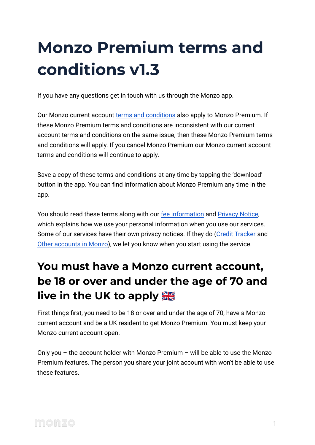# **Monzo Premium terms and conditions v1.3**

If you have any questions get in touch with us through the Monzo app.

Our Monzo current account [terms and conditions](https://monzo.com/legal/terms-and-conditions/) also apply to Monzo Premium. If these Monzo Premium terms and conditions are inconsistent with our current account terms and conditions on the same issue, then these Monzo Premium terms and conditions will apply. If you cancel Monzo Premium our Monzo current account terms and conditions will continue to apply.

Save a copy of these terms and conditions at any time by tapping the 'download' button in the app. You can find information about Monzo Premium any time in the app.

You should read these terms along with our [fee information](https://monzo.com/legal/premium/fee-information) and [Privacy Notice,](https://monzo.com/legal/privacy-notice/) which explains how we use your personal information when you use our services. Some of our services have their own privacy notices. If they do [\(Credit Tracker](https://monzo.com/legal/plus/credit-tracker-terms-and-conditions) and [Other accounts in Monzo](https://monzo.com/legal/plus/other-accounts-in-monzo-terms-and-conditions)), we let you know when you start using the service.

### **You must have a Monzo current account, be 18 or over and under the age of 70 and live in the UK to apply**

First things first, you need to be 18 or over and under the age of 70, have a Monzo current account and be a UK resident to get Monzo Premium. You must keep your Monzo current account open.

Only you – the account holder with Monzo Premium – will be able to use the Monzo Premium features. The person you share your joint account with won't be able to use these features.

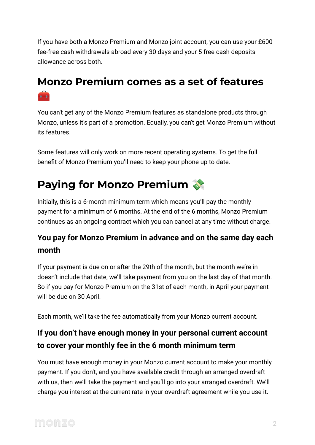If you have both a Monzo Premium and Monzo joint account, you can use your £600 fee-free cash withdrawals abroad every 30 days and your 5 free cash deposits allowance across both.

#### **Monzo Premium comes as a set of features**  $\bullet$

You can't get any of the Monzo Premium features as standalone products through Monzo, unless it's part of a promotion. Equally, you can't get Monzo Premium without its features.

Some features will only work on more recent operating systems. To get the full benefit of Monzo Premium you'll need to keep your phone up to date.

# **Paying for Monzo Premium**

Initially, this is a 6-month minimum term which means you'll pay the monthly payment for a minimum of 6 months. At the end of the 6 months, Monzo Premium continues as an ongoing contract which you can cancel at any time without charge.

#### **You pay for Monzo Premium in advance and on the same day each month**

If your payment is due on or after the 29th of the month, but the month we're in doesn't include that date, we'll take payment from you on the last day of that month. So if you pay for Monzo Premium on the 31st of each month, in April your payment will be due on 30 April.

Each month, we'll take the fee automatically from your Monzo current account.

#### **If you don't have enough money in your personal current account to cover your monthly fee in the 6 month minimum term**

You must have enough money in your Monzo current account to make your monthly payment. If you don't, and you have available credit through an arranged overdraft with us, then we'll take the payment and you'll go into your arranged overdraft. We'll charge you interest at the current rate in your overdraft agreement while you use it.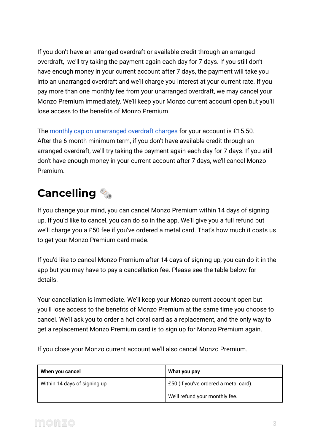If you don't have an arranged overdraft or available credit through an arranged overdraft, we'll try taking the payment again each day for 7 days. If you still don't have enough money in your current account after 7 days, the payment will take you into an unarranged overdraft and we'll charge you interest at your current rate. If you pay more than one monthly fee from your unarranged overdraft, we may cancel your Monzo Premium immediately. We'll keep your Monzo current account open but you'll lose access to the benefits of Monzo Premium.

The [monthly cap on unarranged overdraft charges](https://monzo.com/legal/terms-and-conditions/overdraft-charges-monthly-cap) for your account is £15.50. After the 6 month minimum term, if you don't have available credit through an arranged overdraft, we'll try taking the payment again each day for 7 days. If you still don't have enough money in your current account after 7 days, we'll cancel Monzo Premium.

# **Cancelling**

If you change your mind, you can cancel Monzo Premium within 14 days of signing up. If you'd like to cancel, you can do so in the app. We'll give you a full refund but we'll charge you a £50 fee if you've ordered a metal card. That's how much it costs us to get your Monzo Premium card made.

If you'd like to cancel Monzo Premium after 14 days of signing up, you can do it in the app but you may have to pay a cancellation fee. Please see the table below for details.

Your cancellation is immediate. We'll keep your Monzo current account open but you'll lose access to the benefits of Monzo Premium at the same time you choose to cancel. We'll ask you to order a hot coral card as a replacement, and the only way to get a replacement Monzo Premium card is to sign up for Monzo Premium again.

If you close your Monzo current account we'll also cancel Monzo Premium.

| When you cancel              | What you pay                          |
|------------------------------|---------------------------------------|
| Within 14 days of signing up | £50 (if you've ordered a metal card). |
|                              | We'll refund your monthly fee.        |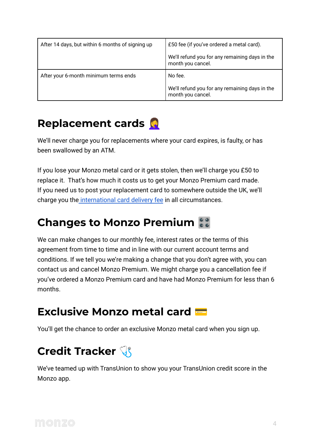| After 14 days, but within 6 months of signing up | £50 fee (if you've ordered a metal card).                           |
|--------------------------------------------------|---------------------------------------------------------------------|
|                                                  | We'll refund you for any remaining days in the<br>month you cancel. |
| After your 6-month minimum terms ends            | No fee.                                                             |
|                                                  | We'll refund you for any remaining days in the<br>month you cancel. |

#### **Replacement cards**

We'll never charge you for replacements where your card expires, is faulty, or has been swallowed by an ATM.

If you lose your Monzo metal card or it gets stolen, then we'll charge you £50 to replace it. That's how much it costs us to get your Monzo Premium card made. If you need us to post your replacement card to somewhere outside the UK, we'll charge you the [international card delivery fee](https://monzo.com/legal/plus/fee-information) in all circumstances.

### **Changes to Monzo Premium**

We can make changes to our monthly fee, interest rates or the terms of this agreement from time to time and in line with our current account terms and conditions. If we tell you we're making a change that you don't agree with, you can contact us and cancel Monzo Premium. We might charge you a cancellation fee if you've ordered a Monzo Premium card and have had Monzo Premium for less than 6 months.

#### **Exclusive Monzo metal card**

You'll get the chance to order an exclusive Monzo metal card when you sign up.

### **Credit Tracker**

We've teamed up with TransUnion to show you your TransUnion credit score in the Monzo app.

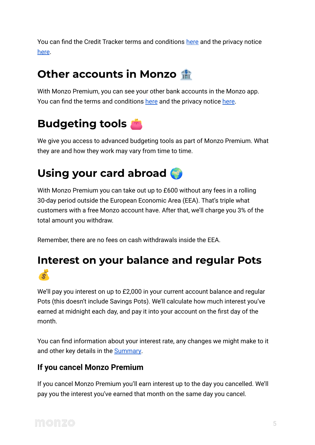You can find the Credit Tracker terms and conditions [here](https://monzo.com/legal/plus/credit-tracker-terms-and-conditions) and the privacy notice [here](https://monzo.com/legal/plus/credit-tracker-privacy-notice).

#### **Other accounts in Monzo**

With Monzo Premium, you can see your other bank accounts in the Monzo app. You can find the terms and conditions [here](https://monzo.com/legal/plus/other-accounts-in-monzo-terms-and-conditions) and the privacy notice [here](https://monzo.com/legal/plus/other-accounts-in-monzo-privacy-notice).

### **Budgeting tools**

We give you access to advanced budgeting tools as part of Monzo Premium. What they are and how they work may vary from time to time.

### **Using your card abroad**

With Monzo Premium you can take out up to £600 without any fees in a rolling 30-day period outside the European Economic Area (EEA). That's triple what customers with a free Monzo account have. After that, we'll charge you 3% of the total amount you withdraw.

Remember, there are no fees on cash withdrawals inside the EEA.

#### **Interest on your balance and regular Pots**  $\bullet$

We'll pay you interest on up to £2,000 in your current account balance and regular Pots (this doesn't include Savings Pots). We'll calculate how much interest you've earned at midnight each day, and pay it into your account on the first day of the month.

You can find information about your interest rate, any changes we might make to it and other key details in the **[Summary](https://monzo.com/legal/plus/savings-summary/)**.

#### **If you cancel Monzo Premium**

If you cancel Monzo Premium you'll earn interest up to the day you cancelled. We'll pay you the interest you've earned that month on the same day you cancel.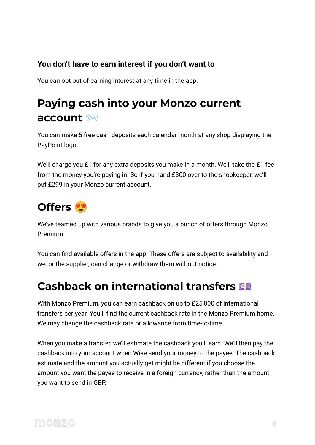#### **You don't have to earn interest if you don't want to**

You can opt out of earning interest at any time in the app.

### **Paying cash into your Monzo current account**

You can make 5 free cash deposits each calendar month at any shop displaying the PayPoint logo.

We'll charge you £1 for any extra deposits you make in a month. We'll take the £1 fee from the money you're paying in. So if you hand £300 over to the shopkeeper, we'll put £299 in your Monzo current account.

### **Offers**

We've teamed up with various brands to give you a bunch of offers through Monzo Premium.

You can find available offers in the app. These offers are subject to availability and we, or the supplier, can change or withdraw them without notice.

#### **Cashback on international transfers**

With Monzo Premium, you can earn cashback on up to £25,000 of international transfers per year. You'll find the current cashback rate in the Monzo Premium home. We may change the cashback rate or allowance from time-to-time.

When you make a transfer, we'll estimate the cashback you'll earn. We'll then pay the cashback into your account when Wise send your money to the payee. The cashback estimate and the amount you actually get might be different if you choose the amount you want the payee to receive in a foreign currency, rather than the amount you want to send in GBP.

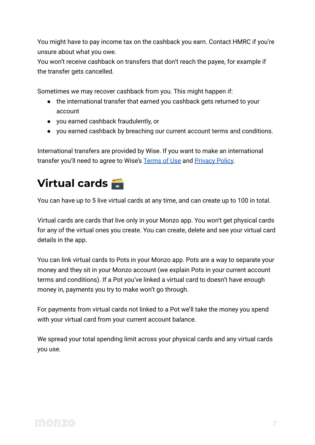You might have to pay income tax on the cashback you earn. Contact HMRC if you're unsure about what you owe.

You won't receive cashback on transfers that don't reach the payee, for example if the transfer gets cancelled.

Sometimes we may recover cashback from you. This might happen if:

- the international transfer that earned you cashback gets returned to your account
- you earned cashback fraudulently, or
- you earned cashback by breaching our current account terms and conditions.

International transfers are provided by Wise. If you want to make an international transfer you'll need to agree to Wise's [Terms of Use](https://wise.com/terms-of-use) and [Privacy Policy](https://wise.com/gb/legal/privacy-policy).

### **Virtual cards**

You can have up to 5 live virtual cards at any time, and can create up to 100 in total.

Virtual cards are cards that live only in your Monzo app. You won't get physical cards for any of the virtual ones you create. You can create, delete and see your virtual card details in the app.

You can link virtual cards to Pots in your Monzo app. Pots are a way to separate your money and they sit in your Monzo account (we explain Pots in your current account terms and conditions). If a Pot you've linked a virtual card to doesn't have enough money in, payments you try to make won't go through.

For payments from virtual cards not linked to a Pot we'll take the money you spend with your virtual card from your current account balance.

We spread your total spending limit across your physical cards and any virtual cards you use.

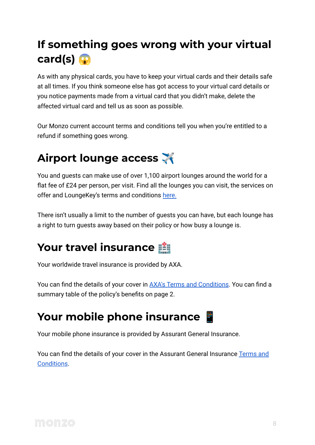# **If something goes wrong with your virtual card(s)**

As with any physical cards, you have to keep your virtual cards and their details safe at all times. If you think someone else has got access to your virtual card details or you notice payments made from a virtual card that you didn't make, delete the affected virtual card and tell us as soon as possible.

Our Monzo current account terms and conditions tell you when you're entitled to a refund if something goes wrong.

# **Airport lounge access**

You and guests can make use of over 1,100 airport lounges around the world for a flat fee of £24 per person, per visit. Find all the lounges you can visit, the services on offer and LoungeKey's terms and conditions [here.](https://www.loungekey.com/en/monzo)

There isn't usually a limit to the number of guests you can have, but each lounge has a right to turn guests away based on their policy or how busy a lounge is.

# **Your travel insurance**

Your worldwide travel insurance is provided by AXA.

You can find the details of your cover in AXA's Terms [and Conditions.](https://monzo.com/static/docs/axa/terms-and-conditions.pdf) You can find a summary table of the policy's benefits on page 2.

### **Your mobile phone insurance**

Your mobile phone insurance is provided by Assurant General Insurance.

You can find the details of your cover in the Assurant General Insurance [Terms and](https://monzo.com/legal/files/premium/monzo-premium-assurant-terms-and-conditions.pdf) [Conditions](https://monzo.com/legal/files/premium/monzo-premium-assurant-terms-and-conditions.pdf).

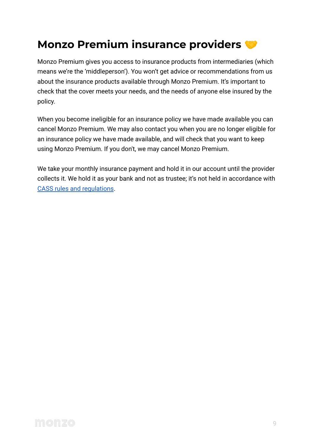### **Monzo Premium insurance providers**

Monzo Premium gives you access to insurance products from intermediaries (which means we're the 'middleperson'). You won't get advice or recommendations from us about the insurance products available through Monzo Premium. It's important to check that the cover meets your needs, and the needs of anyone else insured by the policy.

When you become ineligible for an insurance policy we have made available you can cancel Monzo Premium. We may also contact you when you are no longer eligible for an insurance policy we have made available, and will check that you want to keep using Monzo Premium. If you don't, we may cancel Monzo Premium.

We take your monthly insurance payment and hold it in our account until the provider collects it. We hold it as your bank and not as trustee; it's not held in accordance with [CASS rules and regulations](https://www.handbook.fca.org.uk/handbook/CASS/5/?view=chapter).